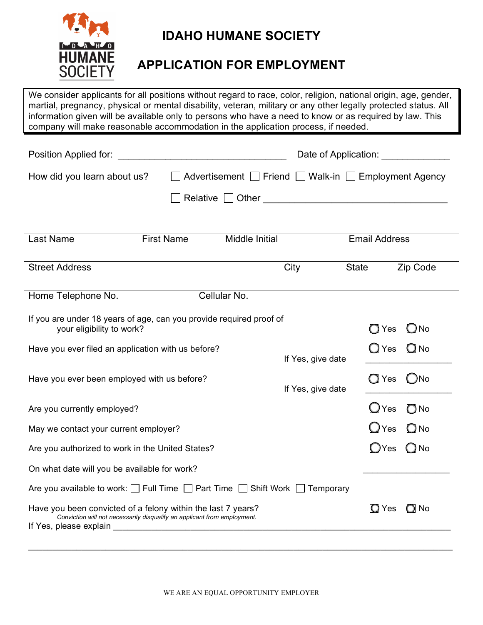

# **IDAHO HUMANE SOCIETY**

## **APPLICATION FOR EMPLOYMENT**

We consider applicants for all positions without regard to race, color, religion, national origin, age, gender, martial, pregnancy, physical or mental disability, veteran, military or any other legally protected status. All information given will be available only to persons who have a need to know or as required by law. This company will make reasonable accommodation in the application process, if needed.

| Position Applied for:                                                                                                                    |                                                      |                   | Date of Application:            |
|------------------------------------------------------------------------------------------------------------------------------------------|------------------------------------------------------|-------------------|---------------------------------|
| How did you learn about us?                                                                                                              | Advertisement □ Friend □ Walk-in □ Employment Agency |                   |                                 |
|                                                                                                                                          |                                                      |                   |                                 |
|                                                                                                                                          |                                                      |                   |                                 |
| <b>First Name</b><br>Last Name                                                                                                           | Middle Initial                                       |                   | <b>Email Address</b>            |
| <b>Street Address</b>                                                                                                                    |                                                      | City              | <b>State</b><br>Zip Code        |
| Home Telephone No.                                                                                                                       | Cellular No.                                         |                   |                                 |
| If you are under 18 years of age, can you provide required proof of<br>your eligibility to work?                                         |                                                      |                   | $\bigcirc$ Yes<br>$\bigcirc$ No |
| Have you ever filed an application with us before?                                                                                       |                                                      | If Yes, give date | $\bigcirc$ Yes<br>$O$ No        |
| Have you ever been employed with us before?                                                                                              |                                                      | If Yes, give date | $\bigcirc$ No<br>$\bigcirc$ Yes |
| Are you currently employed?                                                                                                              |                                                      |                   | $\bigcirc$ Yes<br>$\bigcirc$ No |
| May we contact your current employer?                                                                                                    |                                                      |                   | $\bigcup$ Yes<br>$\bigcirc$ No  |
| Are you authorized to work in the United States?                                                                                         |                                                      |                   | $O$ No<br>$\bigcirc$ Yes        |
| On what date will you be available for work?                                                                                             |                                                      |                   |                                 |
| Are you available to work: $\Box$ Full Time $\Box$ Part Time $\Box$ Shift Work $\Box$ Temporary                                          |                                                      |                   |                                 |
| Have you been convicted of a felony within the last 7 years?<br>Conviction will not necessarily disqualify an applicant from employment. |                                                      |                   | <b>O</b> Yes<br>O No            |

\_\_\_\_\_\_\_\_\_\_\_\_\_\_\_\_\_\_\_\_\_\_\_\_\_\_\_\_\_\_\_\_\_\_\_\_\_\_\_\_\_\_\_\_\_\_\_\_\_\_\_\_\_\_\_\_\_\_\_\_\_\_\_\_\_\_\_\_\_\_\_\_\_\_\_\_\_\_\_\_\_\_\_\_\_\_\_\_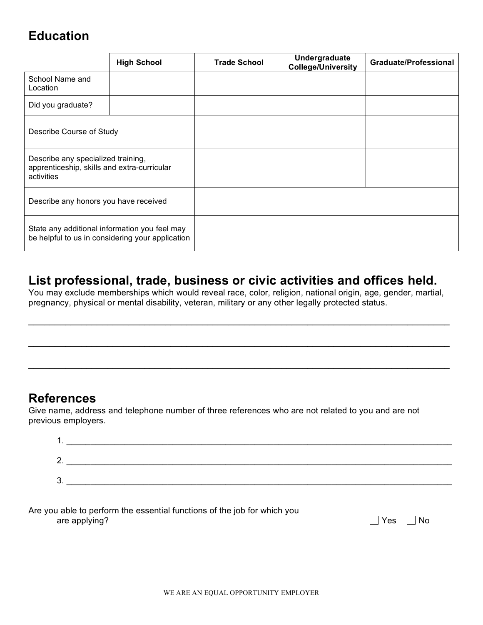# **Education**

|                                                                                                   | <b>High School</b> | <b>Trade School</b> | Undergraduate<br><b>College/University</b> | <b>Graduate/Professional</b> |
|---------------------------------------------------------------------------------------------------|--------------------|---------------------|--------------------------------------------|------------------------------|
| School Name and<br>Location                                                                       |                    |                     |                                            |                              |
| Did you graduate?                                                                                 |                    |                     |                                            |                              |
| Describe Course of Study                                                                          |                    |                     |                                            |                              |
| Describe any specialized training,<br>apprenticeship, skills and extra-curricular<br>activities   |                    |                     |                                            |                              |
| Describe any honors you have received                                                             |                    |                     |                                            |                              |
| State any additional information you feel may<br>be helpful to us in considering your application |                    |                     |                                            |                              |

### **List professional, trade, business or civic activities and offices held.**

You may exclude memberships which would reveal race, color, religion, national origin, age, gender, martial, pregnancy, physical or mental disability, veteran, military or any other legally protected status.

\_\_\_\_\_\_\_\_\_\_\_\_\_\_\_\_\_\_\_\_\_\_\_\_\_\_\_\_\_\_\_\_\_\_\_\_\_\_\_\_\_\_\_\_\_\_\_\_\_\_\_\_\_\_\_\_\_\_\_\_\_\_\_\_\_\_\_\_\_\_\_\_\_\_\_\_\_\_\_\_

\_\_\_\_\_\_\_\_\_\_\_\_\_\_\_\_\_\_\_\_\_\_\_\_\_\_\_\_\_\_\_\_\_\_\_\_\_\_\_\_\_\_\_\_\_\_\_\_\_\_\_\_\_\_\_\_\_\_\_\_\_\_\_\_\_\_\_\_\_\_\_\_\_\_\_\_\_\_\_\_

 $\_$ 

### **References**

Give name, address and telephone number of three references who are not related to you and are not previous employers.

| . . | <u> 1989 - Johann Stoff, amerikansk politiker (d. 1989)</u> |
|-----|-------------------------------------------------------------|
|     |                                                             |
| 2.  |                                                             |
| 3.  |                                                             |
|     |                                                             |

| Are you able to perform the essential functions of the job for which you |  |
|--------------------------------------------------------------------------|--|
| are applying?                                                            |  |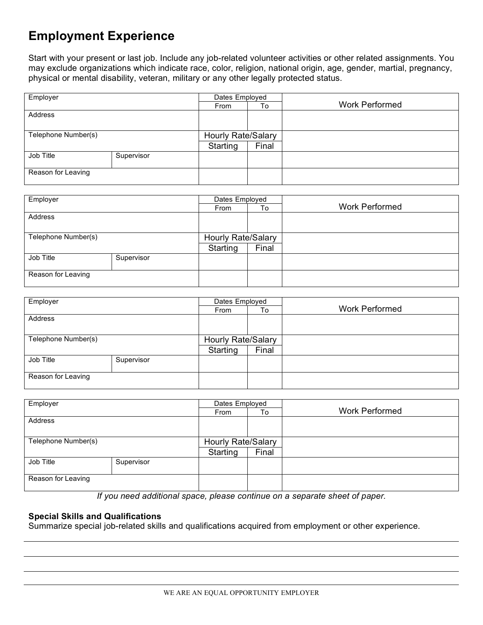## **Employment Experience**

Start with your present or last job. Include any job-related volunteer activities or other related assignments. You may exclude organizations which indicate race, color, religion, national origin, age, gender, martial, pregnancy, physical or mental disability, veteran, military or any other legally protected status.

| Employer            |            | Dates Employed     |       |                       |
|---------------------|------------|--------------------|-------|-----------------------|
|                     |            | From               | To    | <b>Work Performed</b> |
| Address             |            |                    |       |                       |
|                     |            |                    |       |                       |
| Telephone Number(s) |            | Hourly Rate/Salary |       |                       |
|                     |            | Starting           | Final |                       |
| Job Title           | Supervisor |                    |       |                       |
|                     |            |                    |       |                       |
| Reason for Leaving  |            |                    |       |                       |
|                     |            |                    |       |                       |

| Employer            |            | Dates Employed     |       |                       |
|---------------------|------------|--------------------|-------|-----------------------|
|                     |            | From               | To    | <b>Work Performed</b> |
| Address             |            |                    |       |                       |
|                     |            |                    |       |                       |
| Telephone Number(s) |            | Hourly Rate/Salary |       |                       |
|                     |            | Starting           | Final |                       |
| Job Title           | Supervisor |                    |       |                       |
|                     |            |                    |       |                       |
| Reason for Leaving  |            |                    |       |                       |
|                     |            |                    |       |                       |

| Employer            |            | Dates Employed     |       |                       |
|---------------------|------------|--------------------|-------|-----------------------|
|                     |            | From               | To    | <b>Work Performed</b> |
| Address             |            |                    |       |                       |
|                     |            |                    |       |                       |
| Telephone Number(s) |            | Hourly Rate/Salary |       |                       |
|                     |            | Starting           | Final |                       |
| Job Title           | Supervisor |                    |       |                       |
|                     |            |                    |       |                       |
| Reason for Leaving  |            |                    |       |                       |
|                     |            |                    |       |                       |

| Employer            |            | Dates Employed            |       |                       |
|---------------------|------------|---------------------------|-------|-----------------------|
|                     |            | From                      | To    | <b>Work Performed</b> |
| Address             |            |                           |       |                       |
|                     |            |                           |       |                       |
| Telephone Number(s) |            | <b>Hourly Rate/Salary</b> |       |                       |
|                     |            | Starting                  | Final |                       |
| Job Title           | Supervisor |                           |       |                       |
|                     |            |                           |       |                       |
| Reason for Leaving  |            |                           |       |                       |
|                     |            |                           |       |                       |

*If you need additional space, please continue on a separate sheet of paper.*

#### **Special Skills and Qualifications**

Summarize special job-related skills and qualifications acquired from employment or other experience.